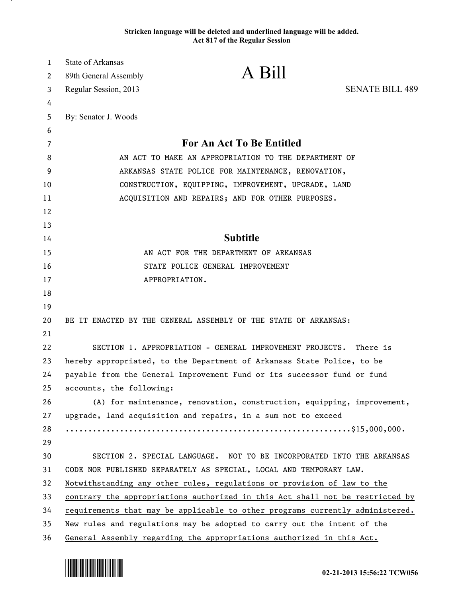## **Stricken language will be deleted and underlined language will be added. Act 817 of the Regular Session**

| $\mathbf{1}$ | State of Arkansas                                                      |                                                                               |                        |
|--------------|------------------------------------------------------------------------|-------------------------------------------------------------------------------|------------------------|
| 2            | 89th General Assembly                                                  | A Bill                                                                        |                        |
| 3            | Regular Session, 2013                                                  |                                                                               | <b>SENATE BILL 489</b> |
| 4            |                                                                        |                                                                               |                        |
| 5            | By: Senator J. Woods                                                   |                                                                               |                        |
| 6            |                                                                        |                                                                               |                        |
| 7            |                                                                        | <b>For An Act To Be Entitled</b>                                              |                        |
| 8            | AN ACT TO MAKE AN APPROPRIATION TO THE DEPARTMENT OF                   |                                                                               |                        |
| 9            | ARKANSAS STATE POLICE FOR MAINTENANCE, RENOVATION,                     |                                                                               |                        |
| 10           |                                                                        | CONSTRUCTION, EQUIPPING, IMPROVEMENT, UPGRADE, LAND                           |                        |
| 11           |                                                                        | ACQUISITION AND REPAIRS; AND FOR OTHER PURPOSES.                              |                        |
| 12           |                                                                        |                                                                               |                        |
| 13           |                                                                        |                                                                               |                        |
| 14           |                                                                        | <b>Subtitle</b>                                                               |                        |
| 15           |                                                                        | AN ACT FOR THE DEPARTMENT OF ARKANSAS                                         |                        |
| 16           |                                                                        | STATE POLICE GENERAL IMPROVEMENT                                              |                        |
| 17           |                                                                        | APPROPRIATION.                                                                |                        |
| 18           |                                                                        |                                                                               |                        |
| 19           |                                                                        |                                                                               |                        |
| 20           |                                                                        | BE IT ENACTED BY THE GENERAL ASSEMBLY OF THE STATE OF ARKANSAS:               |                        |
| 21           |                                                                        |                                                                               |                        |
| 22           |                                                                        | SECTION 1. APPROPRIATION - GENERAL IMPROVEMENT PROJECTS.                      | There is               |
| 23           | hereby appropriated, to the Department of Arkansas State Police, to be |                                                                               |                        |
| 24           |                                                                        | payable from the General Improvement Fund or its successor fund or fund       |                        |
| 25           | accounts, the following:                                               |                                                                               |                        |
| 26           |                                                                        | (A) for maintenance, renovation, construction, equipping, improvement,        |                        |
| 27           |                                                                        | upgrade, land acquisition and repairs, in a sum not to exceed                 |                        |
| 28           |                                                                        |                                                                               |                        |
| 29           |                                                                        |                                                                               |                        |
| 30           |                                                                        | SECTION 2. SPECIAL LANGUAGE. NOT TO BE INCORPORATED INTO THE ARKANSAS         |                        |
| 31           |                                                                        | CODE NOR PUBLISHED SEPARATELY AS SPECIAL, LOCAL AND TEMPORARY LAW.            |                        |
| 32           |                                                                        | Notwithstanding any other rules, regulations or provision of law to the       |                        |
| 33           |                                                                        | contrary the appropriations authorized in this Act shall not be restricted by |                        |
| 34           |                                                                        | requirements that may be applicable to other programs currently administered. |                        |
| 35           |                                                                        | New rules and regulations may be adopted to carry out the intent of the       |                        |
| 36           |                                                                        | General Assembly regarding the appropriations authorized in this Act.         |                        |



.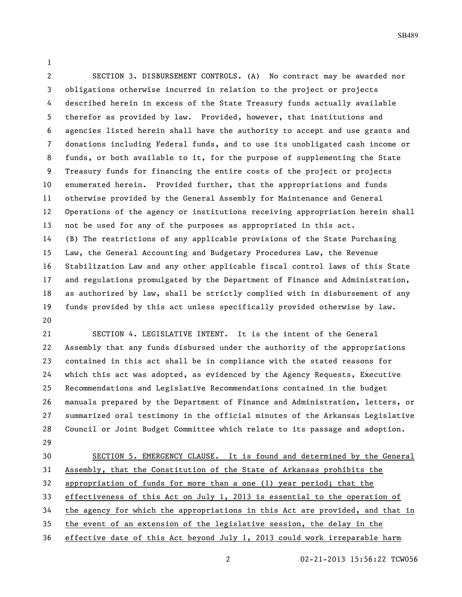SECTION 3. DISBURSEMENT CONTROLS. (A) No contract may be awarded nor obligations otherwise incurred in relation to the project or projects described herein in excess of the State Treasury funds actually available therefor as provided by law. Provided, however, that institutions and agencies listed herein shall have the authority to accept and use grants and donations including Federal funds, and to use its unobligated cash income or funds, or both available to it, for the purpose of supplementing the State Treasury funds for financing the entire costs of the project or projects enumerated herein. Provided further, that the appropriations and funds otherwise provided by the General Assembly for Maintenance and General Operations of the agency or institutions receiving appropriation herein shall not be used for any of the purposes as appropriated in this act. (B) The restrictions of any applicable provisions of the State Purchasing Law, the General Accounting and Budgetary Procedures Law, the Revenue Stabilization Law and any other applicable fiscal control laws of this State and regulations promulgated by the Department of Finance and Administration, as authorized by law, shall be strictly complied with in disbursement of any funds provided by this act unless specifically provided otherwise by law. 

 SECTION 4. LEGISLATIVE INTENT. It is the intent of the General Assembly that any funds disbursed under the authority of the appropriations contained in this act shall be in compliance with the stated reasons for which this act was adopted, as evidenced by the Agency Requests, Executive Recommendations and Legislative Recommendations contained in the budget manuals prepared by the Department of Finance and Administration, letters, or summarized oral testimony in the official minutes of the Arkansas Legislative Council or Joint Budget Committee which relate to its passage and adoption. 

 SECTION 5. EMERGENCY CLAUSE. It is found and determined by the General Assembly, that the Constitution of the State of Arkansas prohibits the appropriation of funds for more than a one (1) year period; that the effectiveness of this Act on July 1, 2013 is essential to the operation of the agency for which the appropriations in this Act are provided, and that in the event of an extension of the legislative session, the delay in the effective date of this Act beyond July 1, 2013 could work irreparable harm

02-21-2013 15:56:22 TCW056